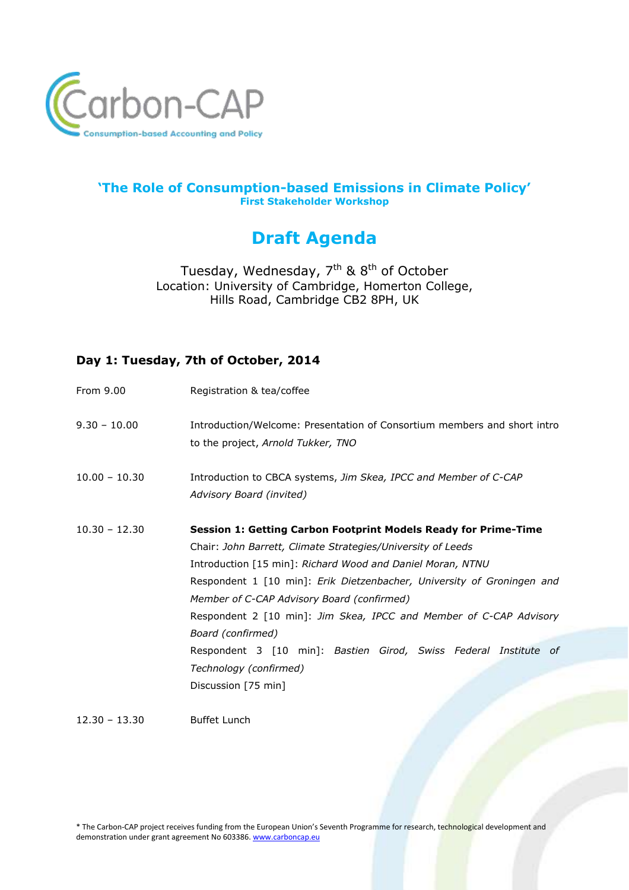

#### **'The Role of Consumption-based Emissions in Climate Policy' First Stakeholder Workshop**

# **Draft Agenda**

Tuesday, Wednesday, 7<sup>th</sup> & 8<sup>th</sup> of October Location: University of Cambridge, Homerton College, Hills Road, Cambridge CB2 8PH, UK

## **Day 1: Tuesday, 7th of October, 2014**

| Registration & tea/coffee                                                                                                                                                                                                                                                                                                                                                                                                                                                                                                            |
|--------------------------------------------------------------------------------------------------------------------------------------------------------------------------------------------------------------------------------------------------------------------------------------------------------------------------------------------------------------------------------------------------------------------------------------------------------------------------------------------------------------------------------------|
| Introduction/Welcome: Presentation of Consortium members and short intro<br>to the project, Arnold Tukker, TNO                                                                                                                                                                                                                                                                                                                                                                                                                       |
| Introduction to CBCA systems, Jim Skea, IPCC and Member of C-CAP<br>Advisory Board (invited)                                                                                                                                                                                                                                                                                                                                                                                                                                         |
| Session 1: Getting Carbon Footprint Models Ready for Prime-Time<br>Chair: John Barrett, Climate Strategies/University of Leeds<br>Introduction [15 min]: Richard Wood and Daniel Moran, NTNU<br>Respondent 1 [10 min]: Erik Dietzenbacher, University of Groningen and<br>Member of C-CAP Advisory Board (confirmed)<br>Respondent 2 [10 min]: Jim Skea, IPCC and Member of C-CAP Advisory<br>Board (confirmed)<br>Respondent 3 [10 min]: Bastien Girod, Swiss Federal Institute of<br>Technology (confirmed)<br>Discussion [75 min] |
|                                                                                                                                                                                                                                                                                                                                                                                                                                                                                                                                      |

12.30 – 13.30 Buffet Lunch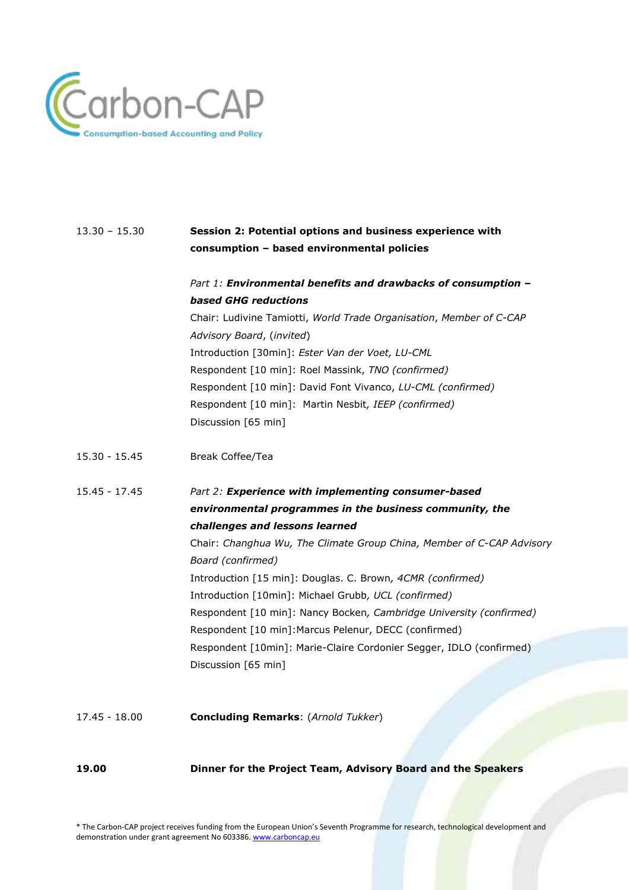

## 13.30 – 15.30 **Session 2: Potential options and business experience with consumption – based environmental policies**

### *Part 1: Environmental benefits and drawbacks of consumption – based GHG reductions*

Chair: Ludivine Tamiotti, *World Trade Organisation*, *Member of C-CAP Advisory Board*, (*invited*) Introduction [30min]: *Ester Van der Voet, LU-CML* Respondent [10 min]: Roel Massink, *TNO (confirmed)* Respondent [10 min]: David Font Vivanco, *LU-CML (confirmed)* Respondent [10 min]: Martin Nesbit*, IEEP (confirmed)* Discussion [65 min]

- 15.30 15.45 Break Coffee/Tea
- 15.45 17.45 *Part 2: Experience with implementing consumer-based environmental programmes in the business community, the challenges and lessons learned* Chair: *Changhua Wu, The Climate Group China, Member of C-CAP Advisory*

*Board (confirmed)* Introduction [15 min]: Douglas. C. Brown*, 4CMR (confirmed)* Introduction [10min]: Michael Grubb*, UCL (confirmed)* Respondent [10 min]: Nancy Bocken*, Cambridge University (confirmed)* Respondent [10 min]:Marcus Pelenur, DECC (confirmed) Respondent [10min]: Marie-Claire Cordonier Segger, IDLO (confirmed) Discussion [65 min]

17.45 - 18.00 **Concluding Remarks**: (*Arnold Tukker*)

**19.00 Dinner for the Project Team, Advisory Board and the Speakers**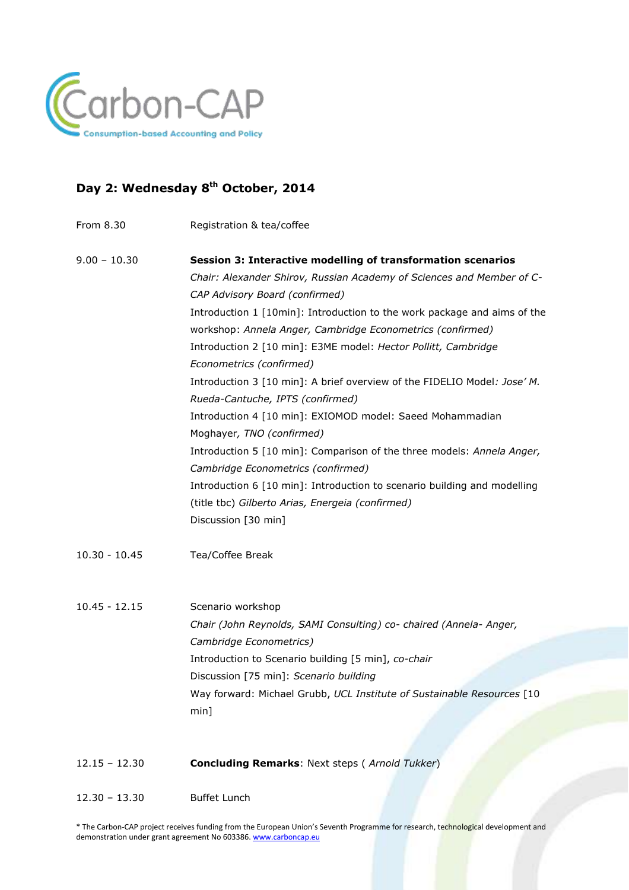

## **Day 2: Wednesday 8 th October, 2014**

From 8.30 Registration & tea/coffee

| $9.00 - 10.30$  | Session 3: Interactive modelling of transformation scenarios             |
|-----------------|--------------------------------------------------------------------------|
|                 | Chair: Alexander Shirov, Russian Academy of Sciences and Member of C-    |
|                 | CAP Advisory Board (confirmed)                                           |
|                 | Introduction 1 [10min]: Introduction to the work package and aims of the |
|                 | workshop: Annela Anger, Cambridge Econometrics (confirmed)               |
|                 | Introduction 2 [10 min]: E3ME model: Hector Pollitt, Cambridge           |
|                 | Econometrics (confirmed)                                                 |
|                 | Introduction 3 [10 min]: A brief overview of the FIDELIO Model: Jose' M. |
|                 | Rueda-Cantuche, IPTS (confirmed)                                         |
|                 | Introduction 4 [10 min]: EXIOMOD model: Saeed Mohammadian                |
|                 | Moghayer, TNO (confirmed)                                                |
|                 | Introduction 5 [10 min]: Comparison of the three models: Annela Anger,   |
|                 | Cambridge Econometrics (confirmed)                                       |
|                 | Introduction 6 [10 min]: Introduction to scenario building and modelling |
|                 | (title tbc) Gilberto Arias, Energeia (confirmed)                         |
|                 | Discussion [30 min]                                                      |
| $10.30 - 10.45$ | Tea/Coffee Break                                                         |
| $10.45 - 12.15$ | Scenario workshop                                                        |
|                 | Chair (John Reynolds, SAMI Consulting) co- chaired (Annela- Anger,       |
|                 | Cambridge Econometrics)                                                  |

Introduction to Scenario building [5 min], *co-chair*

Discussion [75 min]: *Scenario building* Way forward: Michael Grubb, *UCL Institute of Sustainable Resources* [10 min]

- 12.15 12.30 **Concluding Remarks**: Next steps ( *Arnold Tukker*)
- 12.30 13.30 Buffet Lunch

\* The Carbon-CAP project receives funding from the European Union's Seventh Programme for research, technological development and demonstration under grant agreement No 603386. [www.carboncap.eu](http://www.carboncap.eu/)